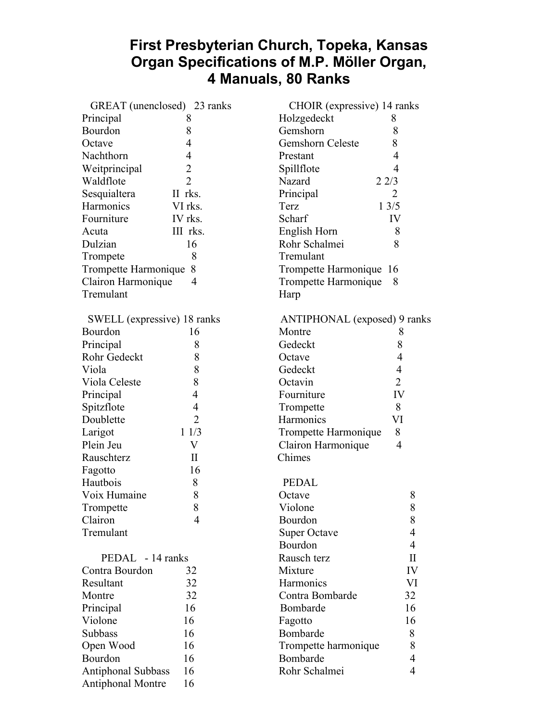## **First Presbyterian Church, Topeka, Kansas Organ Specifications of M.P. Möller Organ, 4 Manuals, 80 Ranks**

| GREAT (unenclosed) 23 ranks |                | CHOIR (expressive) 14 ranks  |                |
|-----------------------------|----------------|------------------------------|----------------|
| Principal                   | 8              | Holzgedeckt                  | 8              |
| Bourdon                     | 8              | Gemshorn                     | 8              |
| Octave                      | 4              | Gemshorn Celeste             | 8              |
| Nachthorn                   | 4              | Prestant                     | 4              |
| Weitprincipal               | $\overline{2}$ | Spillflote                   | 4              |
| Waldflote                   | $\overline{2}$ | Nazard<br>22/3               |                |
| Sesquialtera                | II rks.        | Principal                    | $\overline{2}$ |
| Harmonics                   | VI rks.        | Terz                         | 13/5           |
| Fourniture                  | IV rks.        | Scharf                       | IV             |
| Acuta                       | III rks.       | English Horn                 | 8              |
| Dulzian                     | 16             | Rohr Schalmei                | 8              |
| Trompete                    | 8              | Tremulant                    |                |
| Trompette Harmonique        | 8              | Trompette Harmonique 16      |                |
| Clairon Harmonique<br>4     |                | Trompette Harmonique<br>8    |                |
| Tremulant                   |                | Harp                         |                |
| SWELL (expressive) 18 ranks |                | ANTIPHONAL (exposed) 9 ranks |                |
| Bourdon                     | 16             | Montre                       | 8              |
| Principal                   | 8              | Gedeckt                      | 8              |
| Rohr Gedeckt                | 8              | Octave                       | $\overline{4}$ |
| Viola                       | 8              | Gedeckt                      | $\overline{4}$ |
| Viola Celeste               | 8              | Octavin                      | $\overline{2}$ |
| Principal                   | $\overline{4}$ | Fourniture                   | IV             |
| Spitzflote                  | $\overline{4}$ | Trompette                    | 8              |
| Doublette                   | $\overline{2}$ | Harmonics                    | VI             |
| Larigot                     | 11/3           | Trompette Harmonique         | 8              |
| Plein Jeu                   | V              | Clairon Harmonique           | $\overline{4}$ |
| Rauschterz                  | $\mathbf{I}$   | Chimes                       |                |
| Fagotto                     | 16             |                              |                |
| Hautbois                    | 8              | <b>PEDAL</b>                 |                |
| Voix Humaine                | 8              | Octave                       | 8              |
| Trompette                   | 8              | Violone                      | 8              |
| Clairon                     | 4              | Bourdon                      | 8              |
| Tremulant                   |                | <b>Super Octave</b>          | 4              |
|                             |                | Bourdon                      | 4              |
| PEDAL - 14 ranks            |                | Rausch terz                  | $\mathbf{I}$   |
| Contra Bourdon              | 32             | Mixture                      | IV             |
| Resultant                   | 32             | Harmonics                    | VI             |
| Montre                      | 32             | Contra Bombarde              | 32             |
| Principal                   | 16             | Bombarde                     | 16             |
| Violone                     | 16             | Fagotto                      | 16             |
| Subbass                     | 16             | Bombarde                     | 8              |
| Open Wood                   | 16             | Trompette harmonique         | 8              |
| Bourdon                     | 16             | Bombarde                     | 4              |
| Antiphonal Subbass          | 16             | Rohr Schalmei                | $\overline{4}$ |
| <b>Antiphonal Montre</b>    | 16             |                              |                |
|                             |                |                              |                |